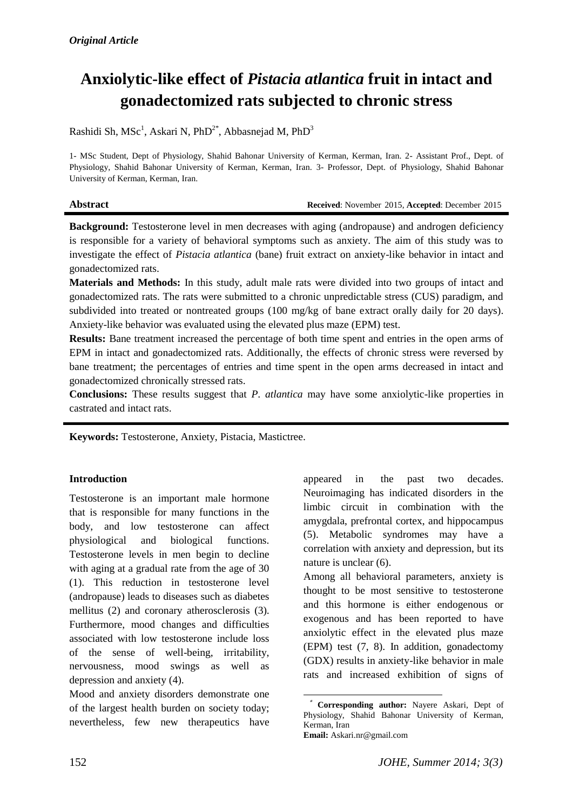# **Anxiolytic-like effect of** *Pistacia atlantica* **fruit in intact and gonadectomized rats subjected to chronic stress**

Rashidi Sh, MSc<sup>1</sup>, Askari N, PhD<sup>2\*</sup>, Abbasnejad M, PhD<sup>3</sup>

1- MSc Student, Dept of Physiology, Shahid Bahonar University of Kerman, Kerman, Iran. 2- Assistant Prof., Dept. of Physiology, Shahid Bahonar University of Kerman, Kerman, Iran. 3- Professor, Dept. of Physiology, Shahid Bahonar University of Kerman, Kerman, Iran.

**Abstract Received**: November 2015, **Accepted**: December 2015

**Background:** Testosterone level in men decreases with aging (andropause) and androgen deficiency is responsible for a variety of behavioral symptoms such as anxiety. The aim of this study was to investigate the effect of *Pistacia atlantica* (bane) fruit extract on anxiety-like behavior in intact and gonadectomized rats.

**Materials and Methods:** In this study, adult male rats were divided into two groups of intact and gonadectomized rats. The rats were submitted to a chronic unpredictable stress (CUS) paradigm, and subdivided into treated or nontreated groups (100 mg/kg of bane extract orally daily for 20 days). Anxiety-like behavior was evaluated using the elevated plus maze (EPM) test.

**Results:** Bane treatment increased the percentage of both time spent and entries in the open arms of EPM in intact and gonadectomized rats. Additionally, the effects of chronic stress were reversed by bane treatment; the percentages of entries and time spent in the open arms decreased in intact and gonadectomized chronically stressed rats.

**Conclusions:** These results suggest that *P. atlantica* may have some anxiolytic-like properties in castrated and intact rats.

**Keywords:** Testosterone, Anxiety, Pistacia, Mastictree.

## **Introduction**

Testosterone is an important male hormone that is responsible for many functions in the body, and low testosterone can affect physiological and biological functions. Testosterone levels in men begin to decline with aging at a gradual rate from the age of 30 [\(1\)](#page-6-0). This reduction in testosterone level (andropause) leads to diseases such as diabetes mellitus [\(2\)](#page-6-1) and coronary atherosclerosis [\(3\)](#page-6-2). Furthermore, mood changes and difficulties associated with low testosterone include loss of the sense of well-being, irritability, nervousness, mood swings as well as depression and anxiety [\(4\)](#page-6-3).

Mood and anxiety disorders demonstrate one of the largest health burden on society today; nevertheless, few new therapeutics have

appeared in the past two decades. Neuroimaging has indicated disorders in the limbic circuit in combination with the amygdala, prefrontal cortex, and hippocampus [\(5\)](#page-6-4). Metabolic syndromes may have a correlation with anxiety and depression, but its nature is unclear [\(6\)](#page-6-5).

Among all behavioral parameters, anxiety is thought to be most sensitive to testosterone and this hormone is either endogenous or exogenous and has been reported to have anxiolytic effect in the elevated plus maze (EPM) test [\(7,](#page-6-6) [8\)](#page-6-7). In addition, gonadectomy (GDX) results in anxiety-like behavior in male rats and increased exhibition of signs of

**<sup>.</sup>** \* **Corresponding author:** [Nayere Askari,](http://johe.rums.ac.ir/search.php?slc_lang=en&sid=1&auth=askari) Dept of Physiology, Shahid Bahonar University of Kerman, Kerman, Iran **Email:** Askari.nr@gmail.com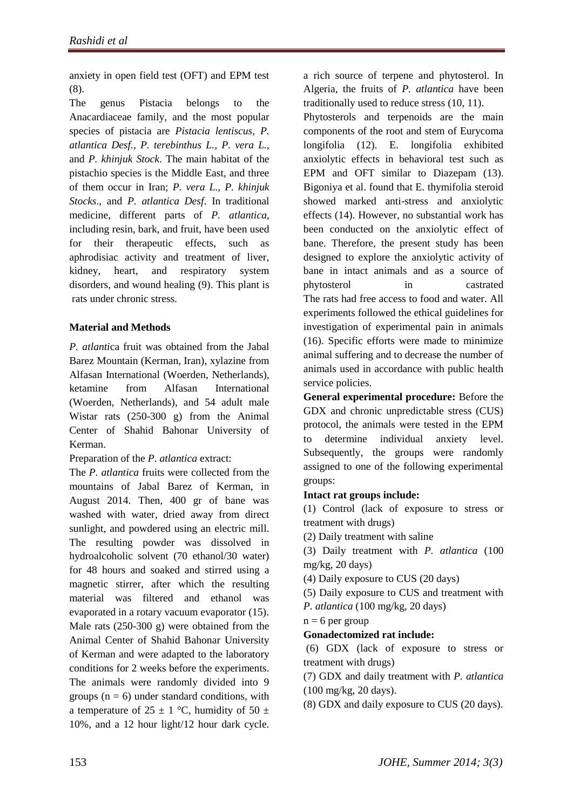anxiety in open field test (OFT) and EPM test [\(8\)](#page-6-7).

The genus Pistacia belongs to the Anacardiaceae family, and the most popular species of pistacia are *Pistacia lentiscus, P. atlantica Desf., P. terebinthus L., P. vera L.,*  and *P. khinjuk Stock*. The main habitat of the pistachio species is the Middle East, and three of them occur in Iran; *P. vera L., P. khinjuk Stocks*., and *P. atlantica Desf*. In traditional medicine, different parts of *P. atlantica,* including resin, bark, and fruit, have been used for their therapeutic effects, such as aphrodisiac activity and treatment of liver, kidney, heart, and respiratory system disorders, and wound healing [\(9\)](#page-6-8). This plant is rats under chronic stress.

# **Material and Methods**

*P. atlanti*ca fruit was obtained from the Jabal Barez Mountain (Kerman, Iran), xylazine from Alfasan International (Woerden, Netherlands), ketamine from Alfasan International (Woerden, Netherlands), and 54 adult male Wistar rats (250-300 g) from the Animal Center of Shahid Bahonar University of Kerman.

Preparation of the *P. atlantica* extract:

The *P. atlantica* fruits were collected from the mountains of Jabal Barez of Kerman, in August 2014. Then, 400 gr of bane was washed with water, dried away from direct sunlight, and powdered using an electric mill. The resulting powder was dissolved in hydroalcoholic solvent (70 ethanol/30 water) for 48 hours and soaked and stirred using a magnetic stirrer, after which the resulting material was filtered and ethanol was evaporated in a rotary vacuum evaporator [\(15\)](#page-7-3). Male rats (250-300 g) were obtained from the Animal Center of Shahid Bahonar University of Kerman and were adapted to the laboratory conditions for 2 weeks before the experiments. The animals were randomly divided into 9 groups  $(n = 6)$  under standard conditions, with a temperature of 25  $\pm$  1 °C, humidity of 50  $\pm$ 10%, and a 12 hour light/12 hour dark cycle.

a rich source of terpene and phytosterol. In Algeria, the fruits of *P. atlantica* have been traditionally used to reduce stress [\(10,](#page-6-9) [11\)](#page-7-0).

Phytosterols and terpenoids are the main components of the root and stem of Eurycoma longifolia [\(12\)](#page-7-1). E. longifolia exhibited anxiolytic effects in behavioral test such as EPM and OFT similar to Diazepam [\(13\)](#page-7-2). Bigoniya et al. found that E. thymifolia steroid showed marked anti-stress and anxiolytic effects (14). However, no substantial work has been conducted on the anxiolytic effect of bane. Therefore, the present study has been designed to explore the anxiolytic activity of bane in intact animals and as a source of phytosterol in castrated The rats had free access to food and water. All experiments followed the ethical guidelines for investigation of experimental pain in animals [\(16\)](#page-7-4). Specific efforts were made to minimize animal suffering and to decrease the number of animals used in accordance with public health service policies.

**General experimental procedure:** Before the GDX and chronic unpredictable stress (CUS) protocol, the animals were tested in the EPM to determine individual anxiety level. Subsequently, the groups were randomly assigned to one of the following experimental groups:

# **Intact rat groups include:**

(1) Control (lack of exposure to stress or treatment with drugs)

(2) Daily treatment with saline

(3) Daily treatment with *P. atlantica* (100 mg/kg, 20 days)

(4) Daily exposure to CUS (20 days)

(5) Daily exposure to CUS and treatment with

*P. atlantica* (100 mg/kg, 20 days)

 $n = 6$  per group

**Gonadectomized rat include:**

(6) GDX (lack of exposure to stress or treatment with drugs)

(7) GDX and daily treatment with *P. atlantica* (100 mg/kg, 20 days).

(8) GDX and daily exposure to CUS (20 days).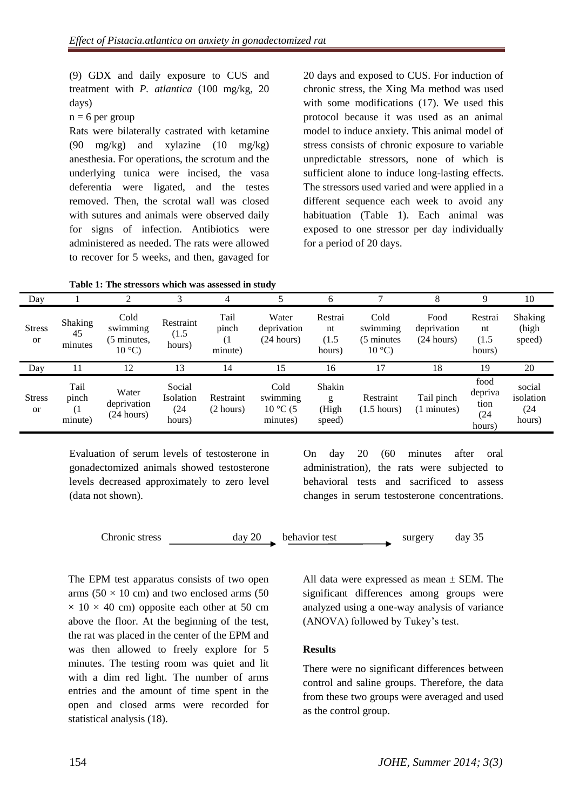(9) GDX and daily exposure to CUS and treatment with *P. atlantica* (100 mg/kg, 20 days)

 $n = 6$  per group

Rats were bilaterally castrated with ketamine (90 mg/kg) and xylazine (10 mg/kg) anesthesia. For operations, the scrotum and the underlying tunica were incised, the vasa deferentia were ligated, and the testes removed. Then, the scrotal wall was closed with sutures and animals were observed daily for signs of infection. Antibiotics were administered as needed. The rats were allowed to recover for 5 weeks, and then, gavaged for

20 days and exposed to CUS. For induction of chronic stress, the Xing Ma method was used with some modifications [\(17\)](#page-7-5). We used this protocol because it was used as an animal model to induce anxiety. This animal model of stress consists of chronic exposure to variable unpredictable stressors, none of which is sufficient alone to induce long-lasting effects. The stressors used varied and were applied in a different sequence each week to avoid any habituation (Table 1). Each animal was exposed to one stressor per day individually for a period of 20 days.

**Table 1: The stressors which was assessed in study**

| Day                        |                          |                                                    | 3                            |                                |                                    | 6                                |                                                    | 8                                 | 9                                | 10                         |
|----------------------------|--------------------------|----------------------------------------------------|------------------------------|--------------------------------|------------------------------------|----------------------------------|----------------------------------------------------|-----------------------------------|----------------------------------|----------------------------|
| <b>Stress</b><br><b>or</b> | Shaking<br>45<br>minutes | Cold<br>swimming<br>(5 minutes,<br>$10^{\circ}$ C) | Restraint<br>(1.5)<br>hours) | Tail<br>pinch<br>(1<br>minute) | Water<br>deprivation<br>(24 hours) | Restrai<br>nt<br>(1.5)<br>hours) | Cold<br>swimming<br>(5 minutes)<br>$10^{\circ}$ C) | Food<br>deprivation<br>(24 hours) | Restrai<br>nt<br>(1.5)<br>hours) | Shaking<br>(high<br>speed) |
|                            |                          |                                                    |                              |                                |                                    |                                  |                                                    |                                   |                                  |                            |
| Day                        | 11                       | 12                                                 | 13                           | 14                             | 15                                 | 16                               | 17                                                 | 18                                | 19                               | 20                         |

Evaluation of serum levels of testosterone in gonadectomized animals showed testosterone levels decreased approximately to zero level (data not shown).

On day 20 (60 minutes after oral administration), the rats were subjected to behavioral tests and sacrificed to assess changes in serum testosterone concentrations.

Chronic stress day 20 behavior test surgery day 35

The EPM test apparatus consists of two open arms ( $50 \times 10$  cm) and two enclosed arms ( $50$  $\times$  10  $\times$  40 cm) opposite each other at 50 cm above the floor. At the beginning of the test, the rat was placed in the center of the EPM and was then allowed to freely explore for 5 minutes. The testing room was quiet and lit with a dim red light. The number of arms entries and the amount of time spent in the open and closed arms were recorded for statistical analysis [\(18\)](#page-7-6).

All data were expressed as mean  $\pm$  SEM. The significant differences among groups were analyzed using a one-way analysis of variance (ANOVA) followed by Tukey's test.

### **Results**

There were no significant differences between control and saline groups. Therefore, the data from these two groups were averaged and used as the control group.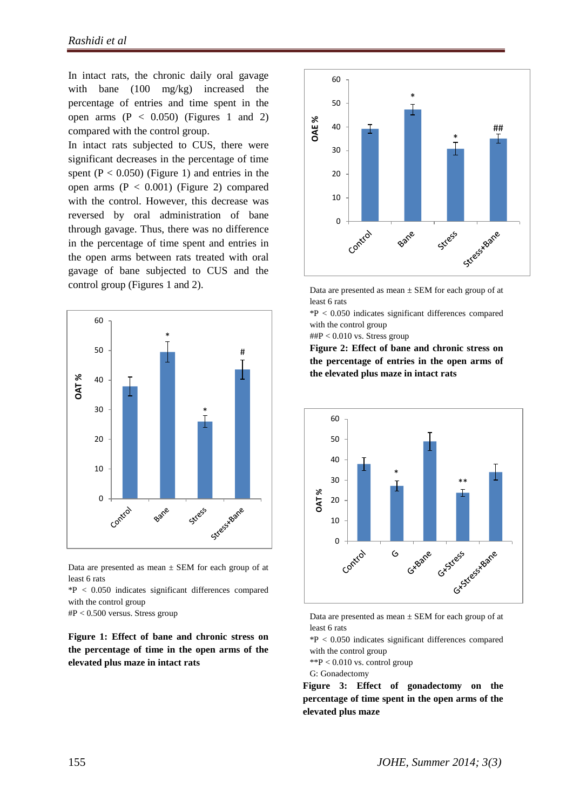In intact rats, the chronic daily oral gavage with bane (100 mg/kg) increased the percentage of entries and time spent in the open arms  $(P < 0.050)$  (Figures 1 and 2) compared with the control group.

In intact rats subjected to CUS, there were significant decreases in the percentage of time spent  $(P < 0.050)$  (Figure 1) and entries in the open arms  $(P < 0.001)$  (Figure 2) compared with the control. However, this decrease was reversed by oral administration of bane through gavage. Thus, there was no difference in the percentage of time spent and entries in the open arms between rats treated with oral gavage of bane subjected to CUS and the control group (Figures 1 and 2).



Data are presented as mean  $\pm$  SEM for each group of at least 6 rats

\*P < 0.050 indicates significant differences compared with the control group

#P < 0.500 versus. Stress group

**Figure 1: Effect of bane and chronic stress on the percentage of time in the open arms of the elevated plus maze in intact rats** 



Data are presented as mean  $\pm$  SEM for each group of at least 6 rats

\*P < 0.050 indicates significant differences compared with the control group

 $\text{#HP}$  < 0.010 vs. Stress group

**Figure 2: Effect of bane and chronic stress on the percentage of entries in the open arms of the elevated plus maze in intact rats**



Data are presented as mean  $\pm$  SEM for each group of at least 6 rats

\*P < 0.050 indicates significant differences compared with the control group

 $*$  $P < 0.010$  vs. control group

G: Gonadectomy

**Figure 3: Effect of gonadectomy on the percentage of time spent in the open arms of the elevated plus maze**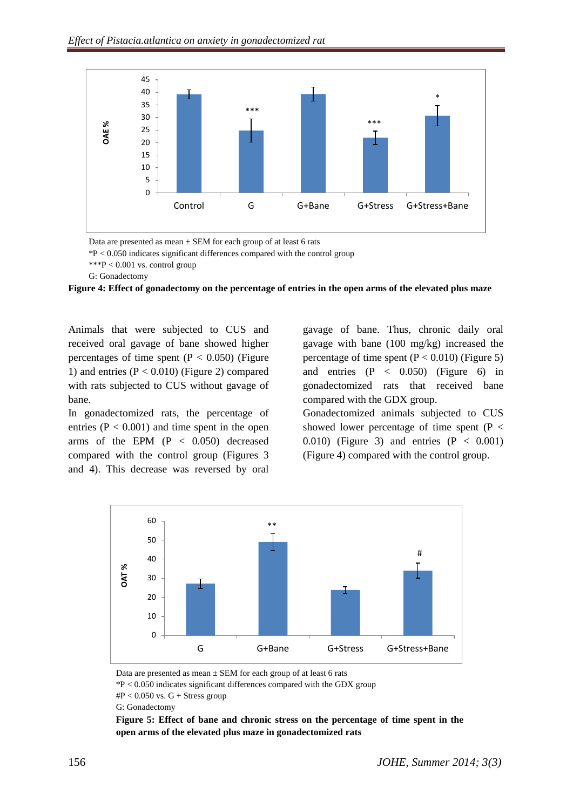

Data are presented as mean  $\pm$  SEM for each group of at least 6 rats

 $*P < 0.050$  indicates significant differences compared with the control group

\*\*\*P < 0.001 vs. control group

G: Gonadectomy

**Figure 4: Effect of gonadectomy on the percentage of entries in the open arms of the elevated plus maze** 

Animals that were subjected to CUS and received oral gavage of bane showed higher percentages of time spent  $(P < 0.050)$  (Figure 1) and entries  $(P < 0.010)$  (Figure 2) compared with rats subjected to CUS without gavage of bane.

In gonadectomized rats, the percentage of entries  $(P < 0.001)$  and time spent in the open arms of the EPM (P < 0.050) decreased compared with the control group (Figures 3 and 4). This decrease was reversed by oral

gavage of bane. Thus, chronic daily oral gavage with bane (100 mg/kg) increased the percentage of time spent  $(P < 0.010)$  (Figure 5) and entries  $(P < 0.050)$  (Figure 6) in gonadectomized rats that received bane compared with the GDX group.

Gonadectomized animals subjected to CUS showed lower percentage of time spent  $(P <$ 0.010) (Figure 3) and entries  $(P < 0.001)$ (Figure 4) compared with the control group.



Data are presented as mean  $\pm$  SEM for each group of at least 6 rats

 $\text{HP}$  < 0.050 vs. G + Stress group

G: Gonadectomy

 $*P < 0.050$  indicates significant differences compared with the GDX group

**Figure 5: Effect of bane and chronic stress on the percentage of time spent in the open arms of the elevated plus maze in gonadectomized rats**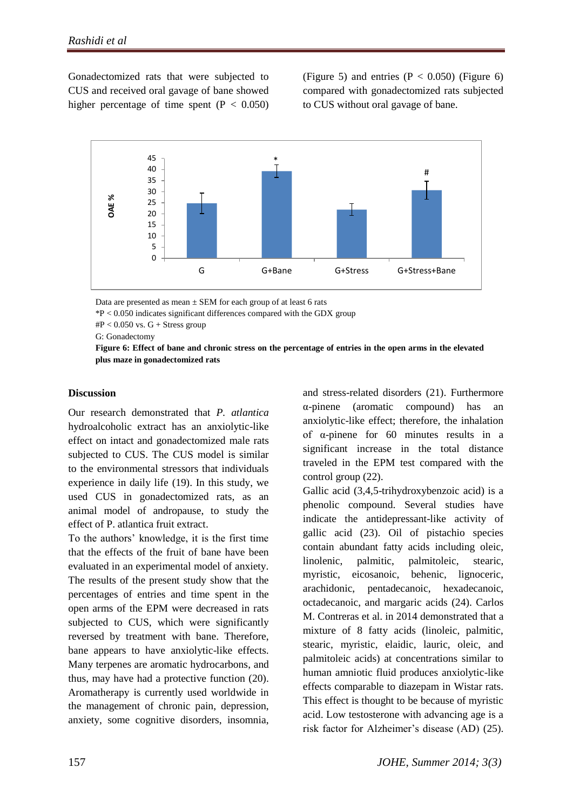Gonadectomized rats that were subjected to CUS and received oral gavage of bane showed higher percentage of time spent  $(P < 0.050)$  (Figure 5) and entries  $(P < 0.050)$  (Figure 6) compared with gonadectomized rats subjected to CUS without oral gavage of bane.



Data are presented as mean  $\pm$  SEM for each group of at least 6 rats

 $*P < 0.050$  indicates significant differences compared with the GDX group

 $\text{HP}$  < 0.050 vs. G + Stress group

G: Gonadectomy

**Figure 6: Effect of bane and chronic stress on the percentage of entries in the open arms in the elevated plus maze in gonadectomized rats** 

#### **Discussion**

Our research demonstrated that *P. atlantica*  hydroalcoholic extract has an anxiolytic-like effect on intact and gonadectomized male rats subjected to CUS. The CUS model is similar to the environmental stressors that individuals experience in daily life [\(19\)](#page-7-7). In this study, we used CUS in gonadectomized rats, as an animal model of andropause, to study the effect of P. atlantica fruit extract.

To the authors' knowledge, it is the first time that the effects of the fruit of bane have been evaluated in an experimental model of anxiety. The results of the present study show that the percentages of entries and time spent in the open arms of the EPM were decreased in rats subjected to CUS, which were significantly reversed by treatment with bane. Therefore, bane appears to have anxiolytic-like effects. Many terpenes are [aromatic hydrocarbons,](https://en.wikipedia.org/wiki/Aromatic_hydrocarbon) and thus, may have had a protective function [\(20\)](#page-7-8). Aromatherapy is currently used worldwide in the management of chronic pain, depression, anxiety, some cognitive disorders, insomnia,

and stress-related disorders [\(21\)](#page-7-9). Furthermore α-pinene (aromatic compound) has an anxiolytic-like effect; therefore, the inhalation of α-pinene for 60 minutes results in a significant increase in the total distance traveled in the EPM test compared with the control group [\(22\)](#page-7-10).

Gallic acid (3,4,5-trihydroxybenzoic acid) is a phenolic compound. Several studies have indicate the antidepressant-like activity of gallic acid [\(23\)](#page-7-11). Oil of pistachio species contain abundant fatty acids including oleic, linolenic, palmitic, palmitoleic, stearic, myristic, eicosanoic, behenic, lignoceric, arachidonic, pentadecanoic, hexadecanoic, octadecanoic, and margaric acids [\(24\)](#page-7-12). Carlos M. Contreras et al. in 2014 demonstrated that a mixture of 8 fatty acids (linoleic, palmitic, stearic, myristic, elaidic, lauric, oleic, and palmitoleic acids) at concentrations similar to human amniotic fluid produces anxiolytic-like effects comparable to diazepam in Wistar rats. This effect is thought to be because of myristic acid. Low testosterone with advancing age is a risk factor for Alzheimer's disease (AD) [\(25\)](#page-7-13).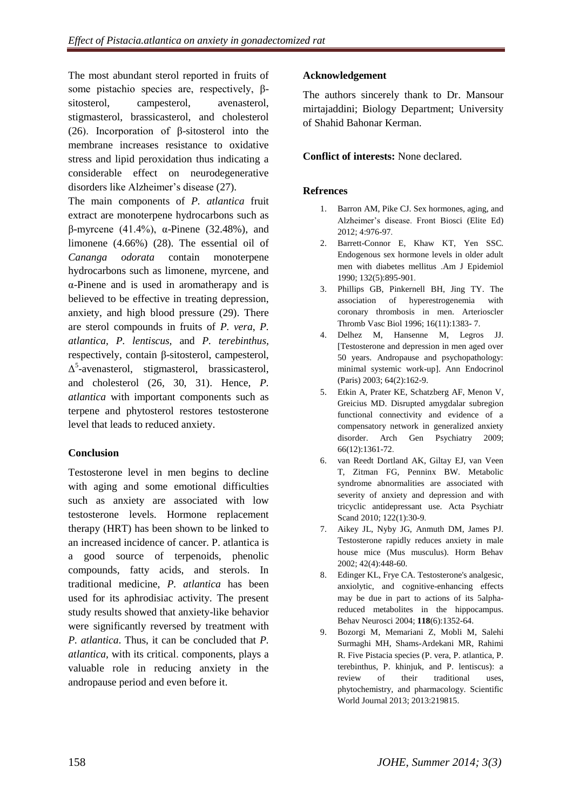The most abundant sterol reported in fruits of some pistachio species are, respectively, βsitosterol, campesterol, avenasterol, stigmasterol, brassicasterol, and cholesterol [\(26\)](#page-7-14). Incorporation of β-sitosterol into the membrane increases resistance to oxidative stress and lipid peroxidation thus indicating a considerable effect on neurodegenerative disorders like Alzheimer's disease [\(27\)](#page-7-15). The main components of *P. atlantica* fruit extract are monoterpene hydrocarbons such as β-myrcene (41.4%), α-Pinene (32.48%), and limonene (4.66%) [\(28\)](#page-7-16). The essential oil of *Cananga odorata* contain monoterpene hydrocarbons such as limonene, myrcene, and α-Pinene and is used in aromatherapy and is believed to be effective in treating depression, anxiety, and high blood pressure [\(29\)](#page-7-17). There are sterol compounds in fruits of *P. vera*, *P. atlantica, P. lentiscus,* and *P. terebinthus,* respectively, contain β-sitosterol, campesterol,  $\Delta^5$ -avenasterol, stigmasterol, brassicasterol, and cholesterol [\(26,](#page-7-14) [30,](#page-7-18) [31\)](#page-7-19). Hence, *P. atlantica* with important components such as terpene and phytosterol restores testosterone

# **Conclusion**

level that leads to reduced anxiety.

Testosterone level in men begins to decline with aging and some emotional difficulties such as anxiety are associated with low testosterone levels. Hormone replacement therapy (HRT) has been shown to be linked to an increased incidence of cancer. P. atlantica is a good source of terpenoids, phenolic compounds, fatty acids, and sterols. In traditional medicine, *P. atlantica* has been used for its aphrodisiac activity. The present study results showed that anxiety-like behavior were significantly reversed by treatment with *P. atlantica*. Thus, it can be concluded that *P. atlantica,* with its critical. components, plays a valuable role in reducing anxiety in the andropause period and even before it.

# **Acknowledgement**

The authors sincerely thank to Dr. Mansour mirtajaddini; Biology Department; University of Shahid Bahonar Kerman.

# **Conflict of interests:** None declared.

# <span id="page-6-0"></span>**Refrences**

- 1. Barron AM, Pike CJ. Sex hormones, aging, and Alzheimer's disease. Front Biosci (Elite Ed) 2012; 4:976-97.
- <span id="page-6-1"></span>2. Barrett-Connor E, Khaw KT, Yen SSC. Endogenous sex hormone levels in older adult men with diabetes mellitus .Am J Epidemiol 1990; 132(5):895-901.
- <span id="page-6-2"></span>3. Phillips GB, Pinkernell BH, Jing TY. The association of hyperestrogenemia with coronary thrombosis in men. Arterioscler Thromb Vasc Biol 1996; 16(11):1383- 7.
- <span id="page-6-3"></span>4. Delhez M, Hansenne M, Legros JJ. [Testosterone and depression in men aged over 50 years. Andropause and psychopathology: minimal systemic work-up]. Ann Endocrinol (Paris) 2003; 64(2):162-9.
- <span id="page-6-4"></span>5. Etkin A, [Prater KE,](http://www.ncbi.nlm.nih.gov/pubmed/?term=Prater%20KE%5BAuthor%5D&cauthor=true&cauthor_uid=19996041) [Schatzberg AF,](http://www.ncbi.nlm.nih.gov/pubmed/?term=Schatzberg%20AF%5BAuthor%5D&cauthor=true&cauthor_uid=19996041) [Menon V,](http://www.ncbi.nlm.nih.gov/pubmed/?term=Menon%20V%5BAuthor%5D&cauthor=true&cauthor_uid=19996041) [Greicius MD.](http://www.ncbi.nlm.nih.gov/pubmed/?term=Greicius%20MD%5BAuthor%5D&cauthor=true&cauthor_uid=19996041) Disrupted amygdalar subregion functional connectivity and evidence of a compensatory network in generalized anxiety disorder. Arch Gen Psychiatry 2009; 66(12):1361-72.
- <span id="page-6-5"></span>6. van Reedt Dortland AK, [Giltay EJ,](http://www.ncbi.nlm.nih.gov/pubmed/?term=Giltay%20EJ%5BAuthor%5D&cauthor=true&cauthor_uid=20456284) [van Veen](http://www.ncbi.nlm.nih.gov/pubmed/?term=van%20Veen%20T%5BAuthor%5D&cauthor=true&cauthor_uid=20456284)  [T,](http://www.ncbi.nlm.nih.gov/pubmed/?term=van%20Veen%20T%5BAuthor%5D&cauthor=true&cauthor_uid=20456284) [Zitman FG,](http://www.ncbi.nlm.nih.gov/pubmed/?term=Zitman%20FG%5BAuthor%5D&cauthor=true&cauthor_uid=20456284) [Penninx BW.](http://www.ncbi.nlm.nih.gov/pubmed/?term=Penninx%20BW%5BAuthor%5D&cauthor=true&cauthor_uid=20456284) Metabolic syndrome abnormalities are associated with severity of anxiety and depression and with tricyclic antidepressant use. Acta Psychiatr Scand 2010; 122(1):30-9.
- <span id="page-6-6"></span>7. Aikey JL, [Nyby JG,](http://www.ncbi.nlm.nih.gov/pubmed/?term=Nyby%20JG%5BAuthor%5D&cauthor=true&cauthor_uid=12488111) [Anmuth DM,](http://www.ncbi.nlm.nih.gov/pubmed/?term=Anmuth%20DM%5BAuthor%5D&cauthor=true&cauthor_uid=12488111) [James PJ.](http://www.ncbi.nlm.nih.gov/pubmed/?term=James%20PJ%5BAuthor%5D&cauthor=true&cauthor_uid=12488111) Testosterone rapidly reduces anxiety in male house mice (Mus musculus). Horm Behav 2002; 42(4):448-60.
- <span id="page-6-7"></span>8. Edinger KL, Frye CA. Testosterone's analgesic, anxiolytic, and cognitive-enhancing effects may be due in part to actions of its 5alphareduced metabolites in the hippocampus. Behav Neurosci 2004; **118**(6):1352-64.
- <span id="page-6-9"></span><span id="page-6-8"></span>9. Bozorgi M, [Memariani Z,](http://www.ncbi.nlm.nih.gov/pubmed/?term=Memariani%20Z%5BAuthor%5D&cauthor=true&cauthor_uid=24453812) [Mobli M,](http://www.ncbi.nlm.nih.gov/pubmed/?term=Mobli%20M%5BAuthor%5D&cauthor=true&cauthor_uid=24453812) [Salehi](http://www.ncbi.nlm.nih.gov/pubmed/?term=Salehi%20Surmaghi%20MH%5BAuthor%5D&cauthor=true&cauthor_uid=24453812)  [Surmaghi MH,](http://www.ncbi.nlm.nih.gov/pubmed/?term=Salehi%20Surmaghi%20MH%5BAuthor%5D&cauthor=true&cauthor_uid=24453812) [Shams-Ardekani MR,](http://www.ncbi.nlm.nih.gov/pubmed/?term=Shams-Ardekani%20MR%5BAuthor%5D&cauthor=true&cauthor_uid=24453812) [Rahimi](http://www.ncbi.nlm.nih.gov/pubmed/?term=Rahimi%20R%5BAuthor%5D&cauthor=true&cauthor_uid=24453812) [R.](http://www.ncbi.nlm.nih.gov/pubmed/?term=Rahimi%20R%5BAuthor%5D&cauthor=true&cauthor_uid=24453812) Five Pistacia species (P. vera, P. atlantica, P. terebinthus, P. khinjuk, and P. lentiscus): a review of their traditional uses, phytochemistry, and pharmacology. Scientific World Journal 2013; 2013:219815.